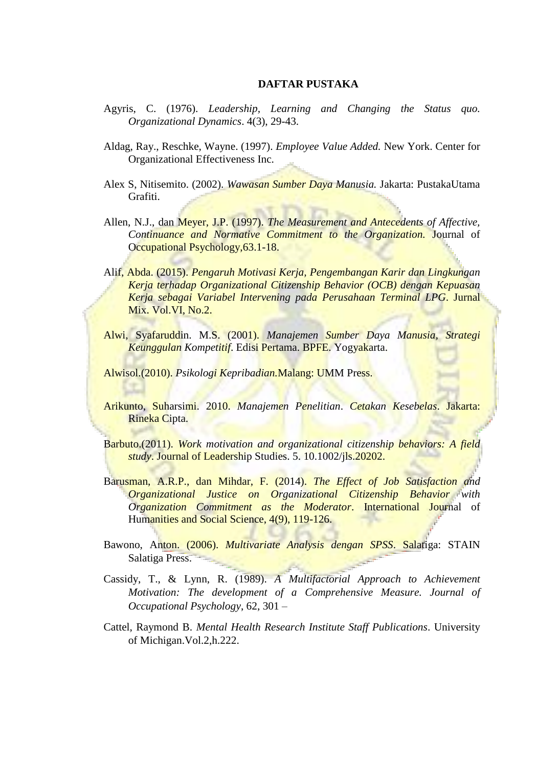## **DAFTAR PUSTAKA**

- Agyris, C. (1976). *Leadership, Learning and Changing the Status quo. Organizational Dynamics*. 4(3), 29-43.
- Aldag, Ray., Reschke, Wayne. (1997). *Employee Value Added.* New York. Center for Organizational Effectiveness Inc.
- Alex S, Nitisemito. (2002). *Wawasan Sumber Daya Manusia.* Jakarta: PustakaUtama Grafiti.
- Allen, N.J., dan Meyer, J.P. (1997). *The Measurement and Antecedents of Affective, Continuance and Normative Commitment to the Organization.* Journal of Occupational Psychology,63.1-18.
- Alif, Abda. (2015). *Pengaruh Motivasi Kerja, Pengembangan Karir dan Lingkungan Kerja terhadap Organizational Citizenship Behavior (OCB) dengan Kepuasan Kerja sebagai Variabel Intervening pada Perusahaan Terminal LPG*. Jurnal Mix. Vol.VI, No.2.
- Alwi, Syafaruddin. M.S. (2001). *Manajemen Sumber Daya Manusia, Strategi Keunggulan Kompetitif*. Edisi Pertama. BPFE. Yogyakarta.

Alwisol.(2010). *Psikologi Kepribadian.*Malang: UMM Press.

- Arikunto, Suharsimi. 2010. *Manajemen Penelitian*. *Cetakan Kesebelas*. Jakarta: Rineka Cipta.
- Barbuto.(2011). *Work motivation and organizational citizenship behaviors: A field study*. Journal of Leadership Studies. 5. 10.1002/jls.20202.
- Barusman, A.R.P., dan Mihdar, F. (2014). *The Effect of Job Satisfaction and Organizational Justice on Organizational Citizenship Behavior with Organization Commitment as the Moderator*. International Journal of Humanities and Social Science, 4(9), 119-126.
- Bawono, Anton. (2006). *Multivariate Analysis dengan SPSS*. Salatiga: STAIN Salatiga Press.
- Cassidy, T., & Lynn, R. (1989). *A Multifactorial Approach to Achievement Motivation: The development of a Comprehensive Measure. Journal of Occupational Psychology*, 62, 301 –
- Cattel, Raymond B. *Mental Health Research Institute Staff Publications*. University of Michigan.Vol.2,h.222.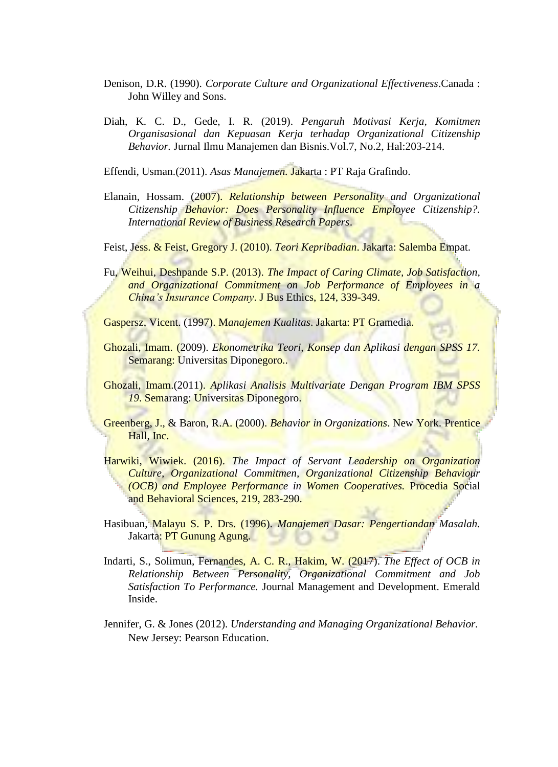- Denison, D.R. (1990). *Corporate Culture and Organizational Effectiveness*.Canada : John Willey and Sons.
- Diah, K. C. D., Gede, I. R. (2019). *Pengaruh Motivasi Kerja, Komitmen Organisasional dan Kepuasan Kerja terhadap Organizational Citizenship Behavior.* Jurnal Ilmu Manajemen dan Bisnis.Vol.7, No.2, Hal:203-214.

Effendi, Usman.(2011). *Asas Manajemen.* Jakarta : PT Raja Grafindo.

Elanain, Hossam. (2007). *Relationship between Personality and Organizational Citizenship Behavior: Does Personality Influence Employee Citizenship?. International Review of Business Research Papers*.

Feist, Jess. & Feist, Gregory J. (2010). *Teori Kepribadian*. Jakarta: Salemba Empat.

Fu, Weihui, Deshpande S.P. (2013). *The Impact of Caring Climate, Job Satisfaction, and Organizational Commitment on Job Performance of Employees in a China's Insurance Company*. J Bus Ethics, 124, 339-349.

Gaspersz, Vicent. (1997). M*anajemen Kualitas*. Jakarta: PT Gramedia.

- Ghozali, Imam. (2009). *Ekonometrika Teori, Konsep dan Aplikasi dengan SPSS 17.* Semarang: Universitas Diponegoro..
- Ghozali, Imam.(2011). *Aplikasi Analisis Multivariate Dengan Program IBM SPSS 19*. Semarang: Universitas Diponegoro.
- Greenberg, J., & Baron, R.A. (2000). *Behavior in Organizations*. New York. Prentice Hall, Inc.
- Harwiki, Wiwiek. (2016). *The Impact of Servant Leadership on Organization Culture, Organizational Commitmen, Organizational Citizenship Behaviour (OCB) and Employee Performance in Women Cooperatives.* Procedia Social and Behavioral Sciences, 219, 283-290.
- Hasibuan, Malayu S. P. Drs. (1996). *Manajemen Dasar: Pengertiandan Masalah.*  Jakarta: PT Gunung Agung.
- Indarti, S., Solimun, Fernandes, A. C. R., Hakim, W. (2017). *The Effect of OCB in Relationship Between Personality, Organizational Commitment and Job Satisfaction To Performance.* Journal Management and Development. Emerald Inside.
- Jennifer, G. & Jones (2012). *Understanding and Managing Organizational Behavior.* New Jersey: Pearson Education.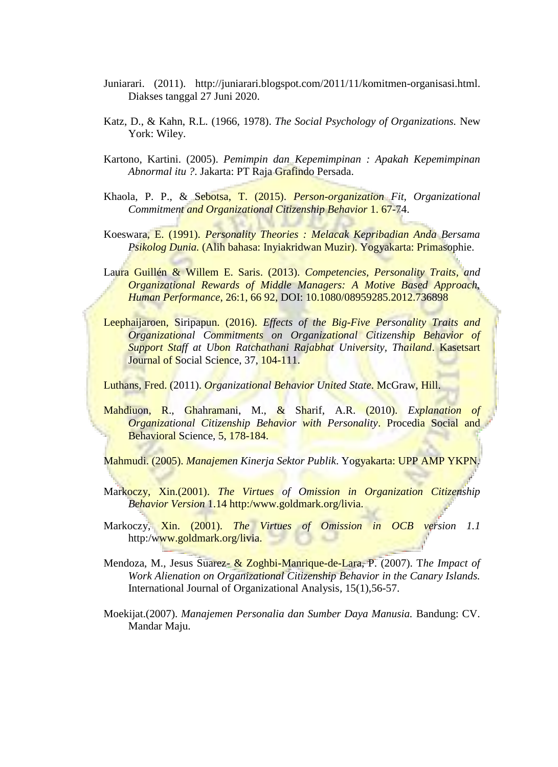- Juniarari. (2011). <http://juniarari.blogspot.com/2011/11/komitmen-organisasi.html.> Diakses tanggal 27 Juni 2020.
- Katz, D., & Kahn, R.L. (1966, 1978). *The Social Psychology of Organizations.* New York: Wiley.
- Kartono, Kartini. (2005). *Pemimpin dan Kepemimpinan : Apakah Kepemimpinan Abnormal itu ?*. Jakarta: PT Raja Grafindo Persada.
- Khaola, P. P., & Sebotsa, T. (2015). *Person-organization Fit, Organizational Commitment and Organizational Citizenship Behavior* 1. 67-74.
- Koeswara, E. (1991). *Personality Theories : Melacak Kepribadian Anda Bersama Psikolog Dunia.* (Alih bahasa: Inyiakridwan Muzir). Yogyakarta: Primasophie.
- Laura Guillén & Willem E. Saris. (2013). *Competencies, Personality Traits, and Organizational Rewards of Middle Managers: A Motive Based Approach, Human Performance*, 26:1, 66 92, DOI: 10.1080/08959285.2012.736898
- Leephaijaroen, Siripapun. (2016). *Effects of the Big-Five Personality Traits and Organizational Commitments on Organizational Citizenship Behavior of Support Staff at Ubon Ratchathani Rajabhat University, Thailand*. Kasetsart Journal of Social Science, 37, 104-111.

Luthans, Fred. (2011). *Organizational Behavior United State*. McGraw, Hill.

Mahdiuon, R., Ghahramani, M., & Sharif, A.R. (2010). *Explanation of Organizational Citizenship Behavior with Personality*. Procedia Social and Behavioral Science, 5, 178-184.

Mahmudi. (2005). *Manajemen Kinerja Sektor Publik*. Yogyakarta: UPP AMP YKPN.

- Markoczy, Xin.(2001). *The Virtues of Omission in Organization Citizenship Behavior Version* 1.14 http:/www.goldmark.org/livia.
- Markoczy, Xin. (2001). *The Virtues of Omission in OCB version 1.1* http:/www.goldmark.org/livia.
- Mendoza, M., Jesus Suarez- & Zoghbi-Manrique-de-Lara, P. (2007). T*he Impact of Work Alienation on Organizational Citizenship Behavior in the Canary Islands.* International Journal of Organizational Analysis*,* 15(1),56-57.
- Moekijat.(2007). *Manajemen Personalia dan Sumber Daya Manusia.* Bandung: CV. Mandar Maju.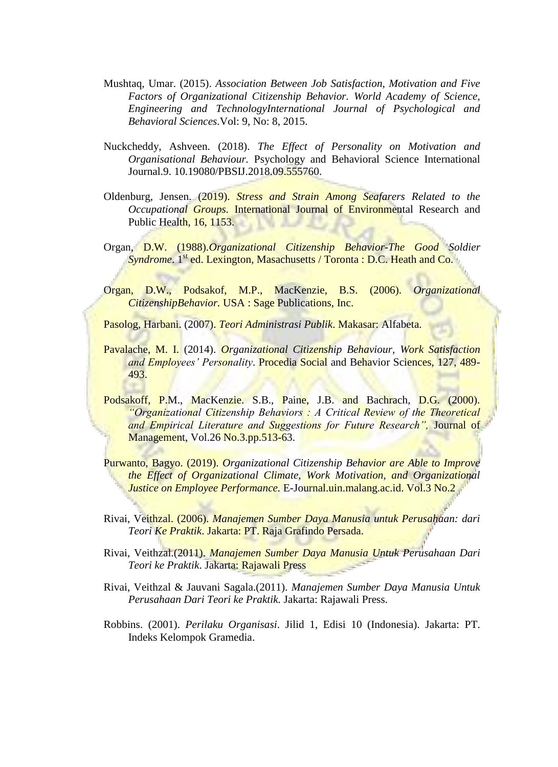- Mushtaq, Umar. (2015). *Association Between Job Satisfaction, Motivation and Five Factors of Organizational Citizenship Behavior. World Academy of Science, Engineering and TechnologyInternational Journal of Psychological and Behavioral Sciences.*Vol: 9, No: 8, 2015.
- Nuckcheddy, Ashveen. (2018). *The Effect of Personality on Motivation and Organisational Behaviour.* Psychology and Behavioral Science International Journal.9. 10.19080/PBSIJ.2018.09.555760.
- Oldenburg, Jensen. (2019). *Stress and Strain Among Seafarers Related to the Occupational Groups.* International Journal of Environmental Research and Public Health, 16, 1153.
- Organ, D.W. (1988).*Organizational Citizenship Behavior-The Good Soldier Syndrome*. 1<sup>st</sup> ed. Lexington, Masachusetts / Toronta : D.C. Heath and Co.
- Organ, D.W., Podsakof, M.P., MacKenzie, B.S. (2006). *Organizational CitizenshipBehavior.* USA : Sage Publications, Inc.

Pasolog, Harbani. (2007). *Teori Administrasi Publik*. Makasar: Alfabeta.

- Pavalache, M. I. (2014). *Organizational Citizenship Behaviour, Work Satisfaction and Employees' Personality*. Procedia Social and Behavior Sciences, 127, 489- 493.
- Podsakoff, P.M., MacKenzie. S.B., Paine, J.B. and Bachrach, D.G. (2000). *"Organizational Citizenship Behaviors : A Critical Review of the Theoretical and Empirical Literature and Suggestions for Future Research",* Journal of Management, Vol.26 No.3.pp.513-63.
- Purwanto, Bagyo. (2019). *Organizational Citizenship Behavior are Able to Improve the Effect of Organizational Climate, Work Motivation, and Organizational Justice on Employee Performance.* E-Journal.uin.malang.ac.id. Vol.3 No.2
- Rivai, Veithzal. (2006). *Manajemen Sumber Daya Manusia untuk Perusahaan: dari Teori Ke Praktik*. Jakarta: PT. Raja Grafindo Persada.
- Rivai, Veithzal.(2011). *Manajemen Sumber Daya Manusia Untuk Perusahaan Dari Teori ke Praktik*. Jakarta: Rajawali Press
- Rivai, Veithzal & Jauvani Sagala.(2011). *Manajemen Sumber Daya Manusia Untuk Perusahaan Dari Teori ke Praktik.* Jakarta: Rajawali Press.
- Robbins. (2001). *Perilaku Organisasi*. Jilid 1, Edisi 10 (Indonesia). Jakarta: PT. Indeks Kelompok Gramedia.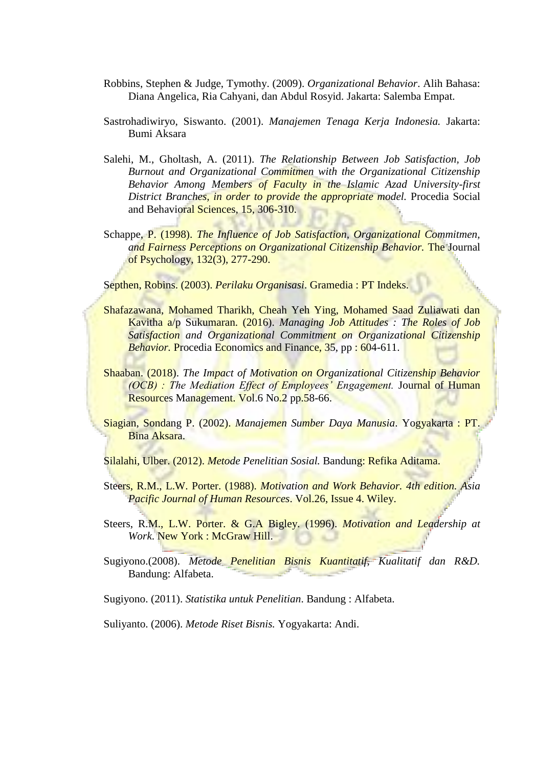- Robbins, Stephen & Judge, Tymothy. (2009). *Organizational Behavior*. Alih Bahasa: Diana Angelica, Ria Cahyani, dan Abdul Rosyid. Jakarta: Salemba Empat.
- Sastrohadiwiryo, Siswanto. (2001). *Manajemen Tenaga Kerja Indonesia.* Jakarta: Bumi Aksara
- Salehi, M., Gholtash, A. (2011). *The Relationship Between Job Satisfaction, Job Burnout and Organizational Commitmen with the Organizational Citizenship Behavior Among Members of Faculty in the Islamic Azad University-first District Branches, in order to provide the appropriate model.* Procedia Social and Behavioral Sciences, 15, 306-310.
- Schappe, P. (1998). *The Influence of Job Satisfaction, Organizational Commitmen, and Fairness Perceptions on Organizational Citizenship Behavior.* The Journal of Psychology, 132(3), 277-290.

Septhen, Robins. (2003). *Perilaku Organisasi*. Gramedia : PT Indeks.

- Shafazawana, Mohamed Tharikh, Cheah Yeh Ying, Mohamed Saad Zuliawati dan Kavitha a/p Sukumaran. (2016). *Managing Job Attitudes : The Roles of Job Satisfaction and Organizational Commitment on Organizational Citizenship Behavior.* Procedia Economics and Finance, 35, pp : 604-611.
- Shaaban. (2018). *The Impact of Motivation on Organizational Citizenship Behavior (OCB) : The Mediation Effect of Employees' Engagement.* Journal of Human Resources Management. Vol.6 No.2 pp.58-66.
- Siagian, Sondang P. (2002). *Manajemen Sumber Daya Manusia*. Yogyakarta : PT. Bina Aksara.

Silalahi, Ulber. (2012). *Metode Penelitian Sosial.* Bandung: Refika Aditama.

- Steers, R.M., L.W. Porter. (1988). *Motivation and Work Behavior. 4th edition. Asia Pacific Journal of Human Resources*. Vol.26, Issue 4. Wiley.
- Steers, R.M., L.W. Porter. & G.A Bigley. (1996). *Motivation and Leadership at Work*. New York : McGraw Hill.
- Sugiyono.(2008). *Metode Penelitian Bisnis Kuantitatif, Kualitatif dan R&D.*  Bandung: Alfabeta.

Sugiyono. (2011). *Statistika untuk Penelitian*. Bandung : Alfabeta.

Suliyanto. (2006). *Metode Riset Bisnis.* Yogyakarta: Andi.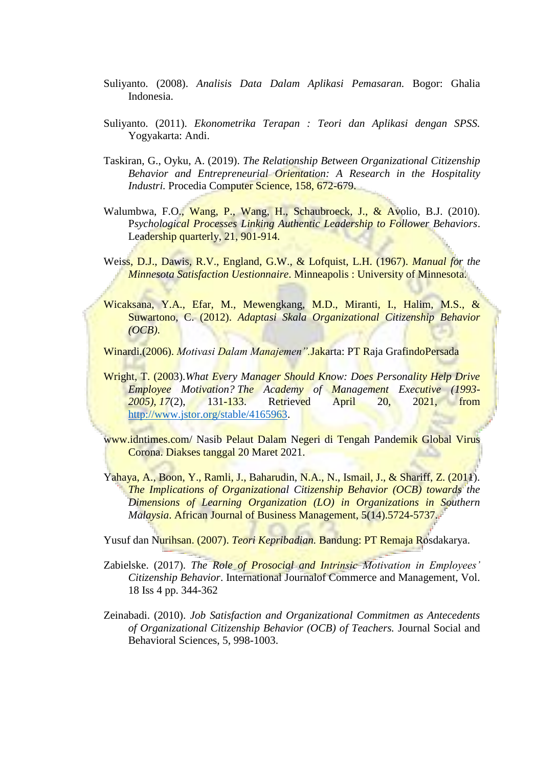- Suliyanto. (2008). *Analisis Data Dalam Aplikasi Pemasaran.* Bogor: Ghalia Indonesia.
- Suliyanto. (2011). *Ekonometrika Terapan : Teori dan Aplikasi dengan SPSS.*  Yogyakarta: Andi.
- Taskiran, G., Oyku, A. (2019). *The Relationship Between Organizational Citizenship Behavior and Entrepreneurial Orientation: A Research in the Hospitality Industri.* Procedia Computer Science, 158, 672-679.
- Walumbwa, F.O., Wang, P., Wang, H., Schaubroeck, J., & Avolio, B.J. (2010). P*sychological Processes Linking Authentic Leadership to Follower Behaviors*. Leadership quarterly, 21, 901-914.
- Weiss, D.J., Dawis, R.V., England, G.W., & Lofquist, L.H. (1967). *Manual for the Minnesota Satisfaction Uestionnaire*. Minneapolis : University of Minnesota.
- Wicaksana, Y.A., Efar, M., Mewengkang, M.D., Miranti, I., Halim, M.S., & Suwartono, C. (2012). *Adaptasi Skala Organizational Citizenship Behavior (OCB)*.

Winardi.(2006). *Motivasi Dalam Manajemen".*Jakarta: PT Raja GrafindoPersada

Wright, T. (2003).*What Every Manager Should Know: Does Personality Help Drive Employee Motivation? The Academy of Management Executive (1993- 2005), 17*(2), 131-133. Retrieved April 20, 2021, from [http://www.jstor.org/stable/4165963.](http://www.jstor.org/stable/4165963)

[www.idntimes.com/](http://www.idntimes.com/) Nasib Pelaut Dalam Negeri di Tengah Pandemik Global Virus Corona. Diakses tanggal 20 Maret 2021.

Yahaya, A., Boon, Y., Ramli, J., Baharudin, N.A., N., Ismail, J., & Shariff, Z. (2011). *The Implications of Organizational Citizenship Behavior (OCB) towards the Dimensions of Learning Organization (LO) in Organizations in Southern Malaysia*. African Journal of Business Management, 5(14).5724-5737.

Yusuf dan Nurihsan. (2007). *Teori Kepribadian.* Bandung: PT Remaja Rosdakarya.

- Zabielske. (2017). *The Role of Prosocial and Intrinsic Motivation in Employees' Citizenship Behavior*. International Journalof Commerce and Management, Vol. 18 Iss 4 pp. 344-362
- Zeinabadi. (2010). *Job Satisfaction and Organizational Commitmen as Antecedents of Organizational Citizenship Behavior (OCB) of Teachers.* Journal Social and Behavioral Sciences, 5, 998-1003.